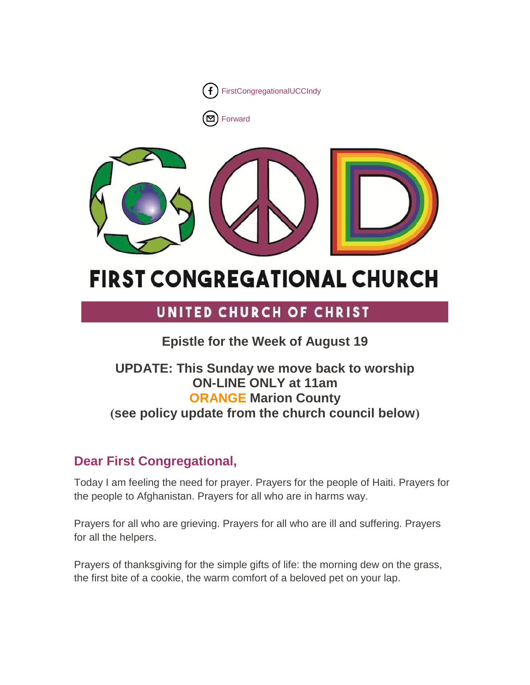

[Forward](http://us16.forward-to-friend.com/forward?u=7a2e4c501545b6d78729a64a1&id=45c6ffeef5&e=%5bUNIQID%5d)



# **FIRST CONGREGATIONAL CHURCH**

## UNITED CHURCH OF CHRIST

### **Epistle for the Week of August 19**

### **UPDATE: This Sunday we move back to worship ON-LINE ONLY at 11am ORANGE Marion County )see policy update from the church council below(**

### **Dear First Congregational,**

Today I am feeling the need for prayer. Prayers for the people of Haiti. Prayers for the people to Afghanistan. Prayers for all who are in harms way.

Prayers for all who are grieving. Prayers for all who are ill and suffering. Prayers for all the helpers.

Prayers of thanksgiving for the simple gifts of life: the morning dew on the grass, the first bite of a cookie, the warm comfort of a beloved pet on your lap.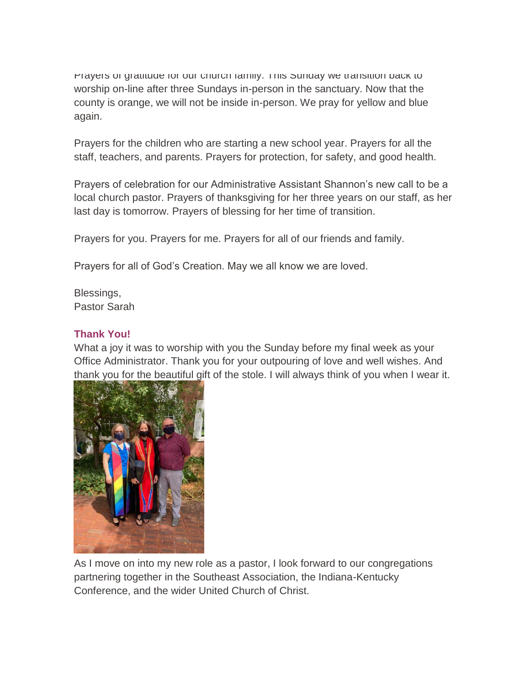Prayers or gratitude for our church family. This Sunday we transition back to worship on-line after three Sundays in-person in the sanctuary. Now that the county is orange, we will not be inside in-person. We pray for yellow and blue again.

Prayers for the children who are starting a new school year. Prayers for all the staff, teachers, and parents. Prayers for protection, for safety, and good health.

Prayers of celebration for our Administrative Assistant Shannon's new call to be a local church pastor. Prayers of thanksgiving for her three years on our staff, as her last day is tomorrow. Prayers of blessing for her time of transition.

Prayers for you. Prayers for me. Prayers for all of our friends and family.

Prayers for all of God's Creation. May we all know we are loved.

Blessings, Pastor Sarah

### **Thank You!**

What a joy it was to worship with you the Sunday before my final week as your Office Administrator. Thank you for your outpouring of love and well wishes. And thank you for the beautiful gift of the stole. I will always think of you when I wear it.



As I move on into my new role as a pastor, I look forward to our congregations partnering together in the Southeast Association, the Indiana-Kentucky Conference, and the wider United Church of Christ.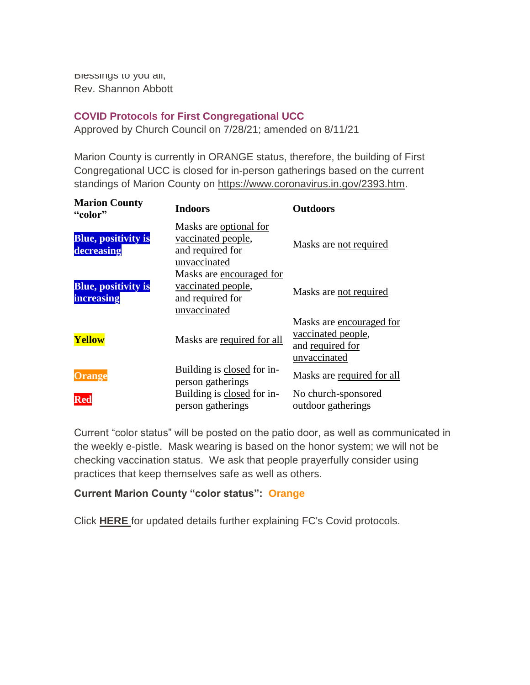Blessings to you all, Rev. Shannon Abbott

### **COVID Protocols for First Congregational UCC**

Approved by Church Council on 7/28/21; amended on 8/11/21

Marion County is currently in ORANGE status, therefore, the building of First Congregational UCC is closed for in-person gatherings based on the current standings of Marion County on [https://www.coronavirus.in.gov/2393.htm.](https://www.coronavirus.in.gov/2393.htm)

| <b>Marion County</b><br>"color"                 | <b>Indoors</b>                                                                                     | <b>Outdoors</b>                                                                    |
|-------------------------------------------------|----------------------------------------------------------------------------------------------------|------------------------------------------------------------------------------------|
| <b>Blue, positivity is</b><br>decreasing        | Masks are optional for<br>vaccinated people,<br>and required for<br>unvaccinated                   | Masks are not required                                                             |
| <b>Blue, positivity is</b><br><b>increasing</b> | Masks are encouraged for<br>vaccinated people,<br>and required for<br>unvaccinated                 | Masks are not required                                                             |
| <b>Yellow</b>                                   | Masks are required for all                                                                         | Masks are encouraged for<br>vaccinated people,<br>and required for<br>unvaccinated |
| <b>Orange</b><br>Red                            | Building is closed for in-<br>person gatherings<br>Building is closed for in-<br>person gatherings | Masks are required for all<br>No church-sponsored<br>outdoor gatherings            |

Current "color status" will be posted on the patio door, as well as communicated in the weekly e-pistle. Mask wearing is based on the honor system; we will not be checking vaccination status. We ask that people prayerfully consider using practices that keep themselves safe as well as others.

### **Current Marion County "color status": Orange**

Click **[HERE](https://mcusercontent.com/7a2e4c501545b6d78729a64a1/files/78f25bff-bbc4-fb9b-6afb-39eefe94623a/Comeback_Team_rec_8_11_21.pdf)** for updated details further explaining FC's Covid protocols.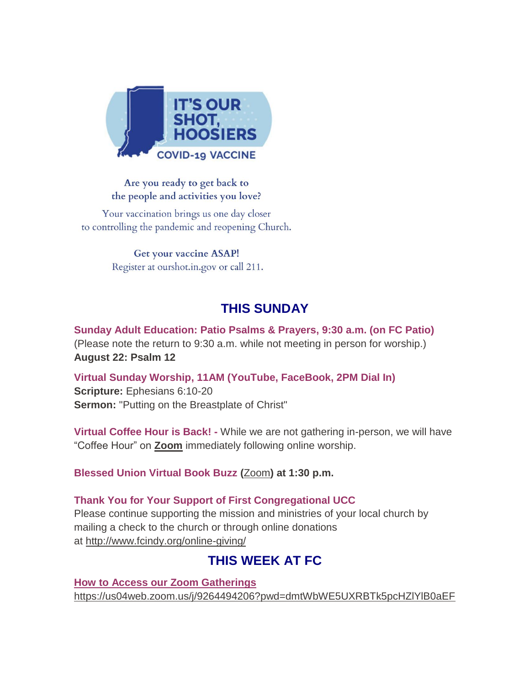

### Are you ready to get back to the people and activities you love?

Your vaccination brings us one day closer to controlling the pandemic and reopening Church.

> Get your vaccine ASAP! Register at ourshot.in.gov or call 211.

### **THIS SUNDAY**

**Sunday Adult Education: Patio Psalms & Prayers, 9:30 a.m. (on FC Patio)** (Please note the return to 9:30 a.m. while not meeting in person for worship.) **August 22: Psalm 12**

**Virtual Sunday Worship, 11AM (YouTube, FaceBook, 2PM Dial In) Scripture:** Ephesians 6:10-20 **Sermon:** "Putting on the Breastplate of Christ"

**Virtual Coffee Hour is Back! -** While we are not gathering in-person, we will have "Coffee Hour" on **[Zoom](https://us04web.zoom.us/j/9264494206?pwd=dmtWbWE5UXRBTk5pcHZlYlB0aEFVUT09)** immediately following online worship.

**Blessed Union Virtual Book Buzz (**[Zoom](https://us04web.zoom.us/j/9264494206?pwd=dmtWbWE5UXRBTk5pcHZlYlB0aEFVUT09)**) at 1:30 p.m.**

### **Thank You for Your Support of First Congregational UCC**

Please continue supporting the mission and ministries of your local church by mailing a check to the church or through online donations at <http://www.fcindy.org/online-giving/>

### **THIS WEEK AT FC**

**How to Access our Zoom Gatherings** [https://us04web.zoom.us/j/9264494206?pwd=dmtWbWE5UXRBTk5pcHZlYlB0aEF](https://us04web.zoom.us/j/9264494206?pwd=dmtWbWE5UXRBTk5pcHZlYlB0aEFVUT09)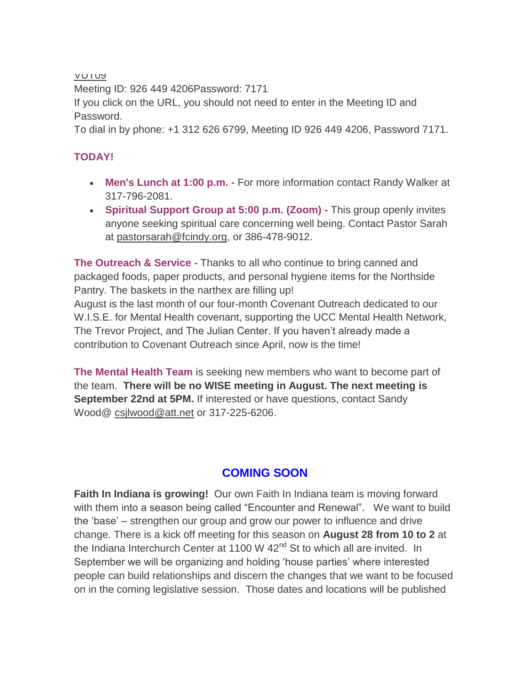[VUT09](https://us04web.zoom.us/j/9264494206?pwd=dmtWbWE5UXRBTk5pcHZlYlB0aEFVUT09)

Meeting ID: 926 449 4206Password: 7171

If you click on the URL, you should not need to enter in the Meeting ID and Password.

To dial in by phone: +1 312 626 6799, Meeting ID 926 449 4206, Password 7171.

### **TODAY!**

- **Men's Lunch at 1:00 p.m. -** For more information contact Randy Walker at 317-796-2081.
- **Spiritual Support Group at 5:00 p.m. (Zoom) -** This group openly invites anyone seeking spiritual care concerning well being. Contact Pastor Sarah at [pastorsarah@fcindy.org,](mailto:pastorsarah@fcindy.org) or 386-478-9012.

**The Outreach & Service -** Thanks to all who continue to bring canned and packaged foods, paper products, and personal hygiene items for the Northside Pantry. The baskets in the narthex are filling up! August is the last month of our four-month Covenant Outreach dedicated to our W.I.S.E. for Mental Health covenant, supporting the UCC Mental Health Network, The Trevor Project, and The Julian Center. If you haven't already made a contribution to Covenant Outreach since April, now is the time!

**The Mental Health Team** is seeking new members who want to become part of the team. **There will be no WISE meeting in August. The next meeting is September 22nd at 5PM.** If interested or have questions, contact Sandy Wood@ [csjlwood@att.net](mailto:csjlwood@att.net) or 317-225-6206.

### **COMING SOON**

**Faith In Indiana is growing!** Our own Faith In Indiana team is moving forward with them into a season being called "Encounter and Renewal". We want to build the 'base' – strengthen our group and grow our power to influence and drive change. There is a kick off meeting for this season on **August 28 from 10 to 2** at the Indiana Interchurch Center at 1100 W  $42<sup>nd</sup>$  St to which all are invited. In September we will be organizing and holding 'house parties' where interested people can build relationships and discern the changes that we want to be focused on in the coming legislative session. Those dates and locations will be published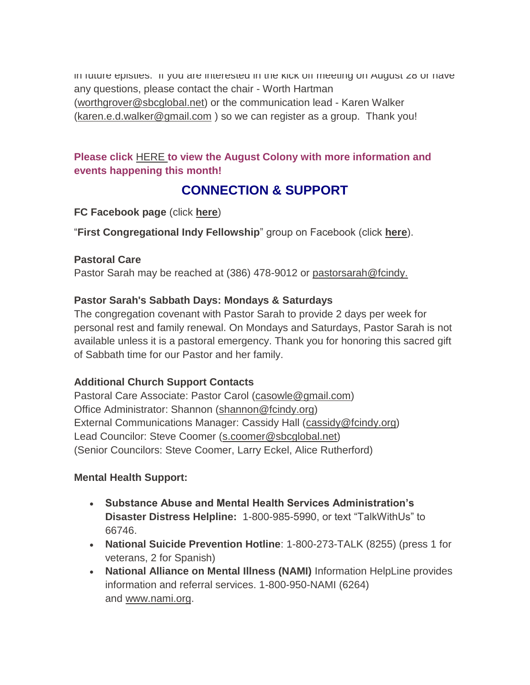In future epistles. If you are interested in the kick off meeting on August  $28$  or have any questions, please contact the chair - Worth Hartman [\(worthgrover@sbcglobal.net\)](mailto:worthgrover@sbcglobal.net) or the communication lead - Karen Walker [\(karen.e.d.walker@gmail.com](mailto:karen.e.d.walker@gmail.com) ) so we can register as a group. Thank you!

### **Please click** [HERE](https://mcusercontent.com/7a2e4c501545b6d78729a64a1/files/d48f69d7-e688-a3ac-b0c2-00c4dfd79cda/June_Colony_2021.01.pdf) **to view the August Colony with more information and events happening this month!**

### **CONNECTION & SUPPORT**

### **FC Facebook page** (click **[here](https://www.facebook.com/FirstCongregationalUCCIndy/)**)

"**First Congregational Indy Fellowship**" group on Facebook (click **[here](https://www.facebook.com/groups/521333455186422/)**).

### **Pastoral Care**

Pastor Sarah may be reached at (386) 478-9012 or [pastorsarah@fcindy.](mailto:pastorsarah@fcindy.org)

### **Pastor Sarah's Sabbath Days: Mondays & Saturdays**

The congregation covenant with Pastor Sarah to provide 2 days per week for personal rest and family renewal. On Mondays and Saturdays, Pastor Sarah is not available unless it is a pastoral emergency. Thank you for honoring this sacred gift of Sabbath time for our Pastor and her family.

### **Additional Church Support Contacts**

Pastoral Care Associate: Pastor Carol [\(casowle@gmail.com\)](mailto:casowle@gmail.com) Office Administrator: Shannon [\(shannon@fcindy.org\)](mailto:shannon@fcindy.org) External Communications Manager: Cassidy Hall [\(cassidy@fcindy.org\)](mailto:cassidy@fcindy.org) Lead Councilor: Steve Coomer [\(s.coomer@sbcglobal.net\)](mailto:s.coomer@sbcglobal.net) (Senior Councilors: Steve Coomer, Larry Eckel, Alice Rutherford)

### **Mental Health Support:**

- **Substance Abuse and Mental Health Services Administration's Disaster Distress Helpline:** 1-800-985-5990, or text "TalkWithUs" to 66746.
- **National Suicide Prevention Hotline**: 1-800-273-TALK (8255) (press 1 for veterans, 2 for Spanish)
- **National Alliance on Mental Illness (NAMI)** Information HelpLine provides information and referral services. 1-800-950-NAMI (6264) and [www.nami.org.](http://www.nami.org/)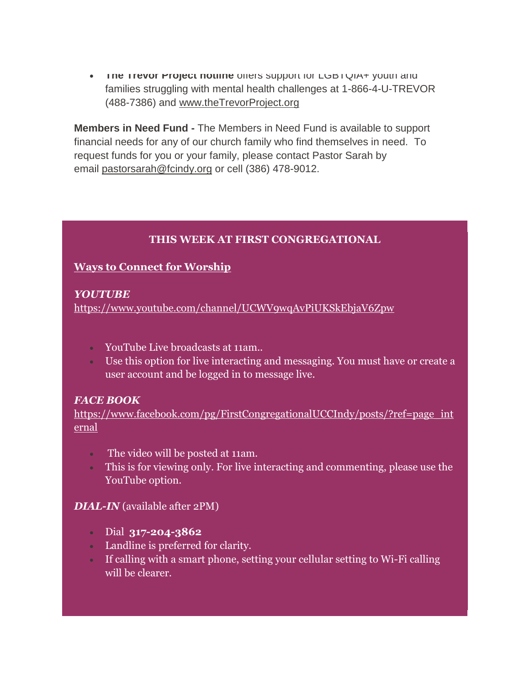**The Trevor Project notilne** offers support for LGBTQIA+ youth and families struggling with mental health challenges at 1-866-4-U-TREVOR (488-7386) and [www.theTrevorProject.org](http://www.thetrevorproject.org/)

**Members in Need Fund -** The Members in Need Fund is available to support financial needs for any of our church family who find themselves in need. To request funds for you or your family, please contact Pastor Sarah by email [pastorsarah@fcindy.org](mailto:pastorsarah@fcindy.org) or cell (386) 478-9012.

### **THIS WEEK AT FIRST CONGREGATIONAL**

### **Ways to Connect for Worship**

### *YOUTUBE*

<https://www.youtube.com/channel/UCWV9wqAvPiUKSkEbjaV6Zpw>

- YouTube Live broadcasts at 11am..
- Use this option for live interacting and messaging. You must have or create a user account and be logged in to message live.

### *FACE BOOK*

[https://www.facebook.com/pg/FirstCongregationalUCCIndy/posts/?ref=page\\_int](https://www.facebook.com/pg/FirstCongregationalUCCIndy/posts/?ref=page_internal) [ernal](https://www.facebook.com/pg/FirstCongregationalUCCIndy/posts/?ref=page_internal)

- The video will be posted at 11am.
- This is for viewing only. For live interacting and commenting, please use the YouTube option.

### *DIAL-IN* (available after 2PM)

- Dial **317-204-3862**
- Landline is preferred for clarity.
- If calling with a smart phone, setting your cellular setting to Wi-Fi calling will be clearer.